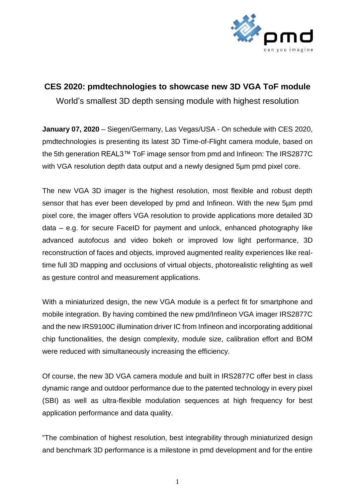

## **CES 2020: pmdtechnologies to showcase new 3D VGA ToF module**

World's smallest 3D depth sensing module with highest resolution

**January 07, 2020** – Siegen/Germany, Las Vegas/USA - On schedule with CES 2020, pmdtechnologies is presenting its latest 3D Time-of-Flight camera module, based on the 5th generation REAL3™ ToF image sensor from pmd and Infineon: The IRS2877C with VGA resolution depth data output and a newly designed 5um pmd pixel core.

The new VGA 3D imager is the highest resolution, most flexible and robust depth sensor that has ever been developed by pmd and Infineon. With the new 5µm pmd pixel core, the imager offers VGA resolution to provide applications more detailed 3D data – e.g. for secure FaceID for payment and unlock, enhanced photography like advanced autofocus and video bokeh or improved low light performance, 3D reconstruction of faces and objects, improved augmented reality experiences like realtime full 3D mapping and occlusions of virtual objects, photorealistic relighting as well as gesture control and measurement applications.

With a miniaturized design, the new VGA module is a perfect fit for smartphone and mobile integration. By having combined the new pmd/Infineon VGA imager IRS2877C and the new IRS9100C illumination driver IC from Infineon and incorporating additional chip functionalities, the design complexity, module size, calibration effort and BOM were reduced with simultaneously increasing the efficiency.

Of course, the new 3D VGA camera module and built in IRS2877C offer best in class dynamic range and outdoor performance due to the patented technology in every pixel (SBI) as well as ultra-flexible modulation sequences at high frequency for best application performance and data quality.

"The combination of highest resolution, best integrability through miniaturized design and benchmark 3D performance is a milestone in pmd development and for the entire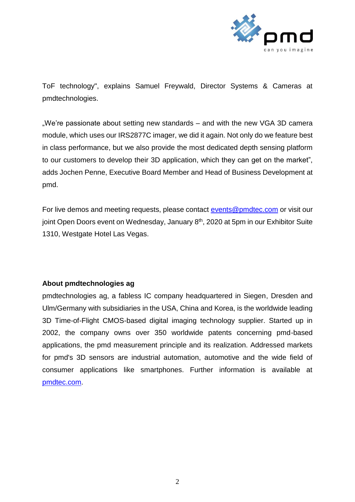

ToF technology", explains Samuel Freywald, Director Systems & Cameras at pmdtechnologies.

.We're passionate about setting new standards – and with the new VGA 3D camera module, which uses our IRS2877C imager, we did it again. Not only do we feature best in class performance, but we also provide the most dedicated depth sensing platform to our customers to develop their 3D application, which they can get on the market", adds Jochen Penne, Executive Board Member and Head of Business Development at pmd.

For live demos and meeting requests, please contact [events@pmdtec.com](mailto:events@pmdtec.com) or visit our joint Open Doors event on Wednesday, January 8<sup>th</sup>, 2020 at 5pm in our Exhibitor Suite 1310, Westgate Hotel Las Vegas.

## **About pmdtechnologies ag**

pmdtechnologies ag, a fabless IC company headquartered in Siegen, Dresden and Ulm/Germany with subsidiaries in the USA, China and Korea, is the worldwide leading 3D Time-of-Flight CMOS-based digital imaging technology supplier. Started up in 2002, the company owns over 350 worldwide patents concerning pmd-based applications, the pmd measurement principle and its realization. Addressed markets for pmd's 3D sensors are industrial automation, automotive and the wide field of consumer applications like smartphones. Further information is available at [pmdtec.com.](https://www.pmdtec.com/)